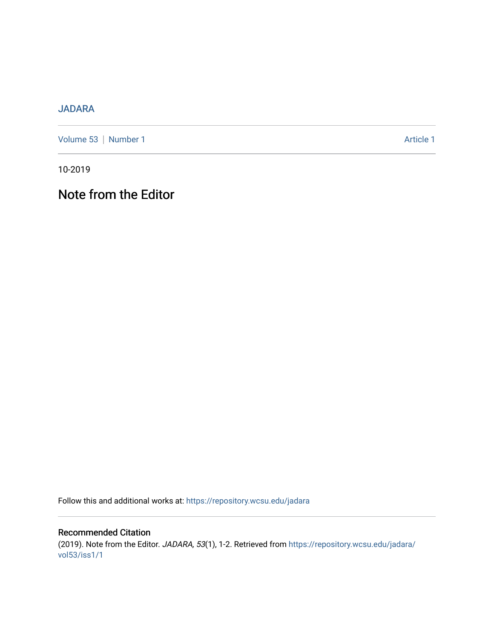## [JADARA](https://repository.wcsu.edu/jadara)

[Volume 53](https://repository.wcsu.edu/jadara/vol53) | [Number 1](https://repository.wcsu.edu/jadara/vol53/iss1) Article 1

10-2019

## Note from the Editor

Follow this and additional works at: [https://repository.wcsu.edu/jadara](https://repository.wcsu.edu/jadara?utm_source=repository.wcsu.edu%2Fjadara%2Fvol53%2Fiss1%2F1&utm_medium=PDF&utm_campaign=PDFCoverPages)

Recommended Citation (2019). Note from the Editor. JADARA, 53(1), 1-2. Retrieved from [https://repository.wcsu.edu/jadara/](https://repository.wcsu.edu/jadara/vol53/iss1/1?utm_source=repository.wcsu.edu%2Fjadara%2Fvol53%2Fiss1%2F1&utm_medium=PDF&utm_campaign=PDFCoverPages) [vol53/iss1/1](https://repository.wcsu.edu/jadara/vol53/iss1/1?utm_source=repository.wcsu.edu%2Fjadara%2Fvol53%2Fiss1%2F1&utm_medium=PDF&utm_campaign=PDFCoverPages)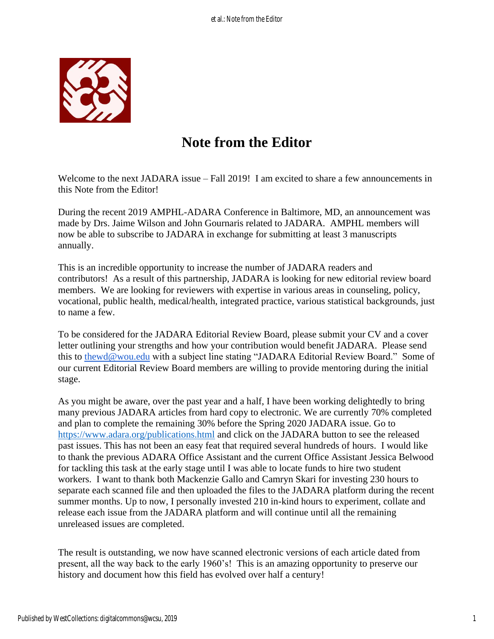

## **Note from the Editor**

Welcome to the next JADARA issue – Fall 2019! I am excited to share a few announcements in this Note from the Editor!

During the recent 2019 AMPHL-ADARA Conference in Baltimore, MD, an announcement was made by Drs. Jaime Wilson and John Gournaris related to JADARA. AMPHL members will now be able to subscribe to JADARA in exchange for submitting at least 3 manuscripts annually.

This is an incredible opportunity to increase the number of JADARA readers and contributors! As a result of this partnership, JADARA is looking for new editorial review board members. We are looking for reviewers with expertise in various areas in counseling, policy, vocational, public health, medical/health, integrated practice, various statistical backgrounds, just to name a few.

To be considered for the JADARA Editorial Review Board, please submit your CV and a cover letter outlining your strengths and how your contribution would benefit JADARA. Please send this to [thewd@wou.edu](mailto:thewd@wou.edu) with a subject line stating "JADARA Editorial Review Board." Some of our current Editorial Review Board members are willing to provide mentoring during the initial stage.

As you might be aware, over the past year and a half, I have been working delightedly to bring many previous JADARA articles from hard copy to electronic. We are currently 70% completed and plan to complete the remaining 30% before the Spring 2020 JADARA issue. Go to <https://www.adara.org/publications.html> and click on the JADARA button to see the released past issues. This has not been an easy feat that required several hundreds of hours. I would like to thank the previous ADARA Office Assistant and the current Office Assistant Jessica Belwood for tackling this task at the early stage until I was able to locate funds to hire two student workers. I want to thank both Mackenzie Gallo and Camryn Skari for investing 230 hours to separate each scanned file and then uploaded the files to the JADARA platform during the recent summer months. Up to now, I personally invested 210 in-kind hours to experiment, collate and release each issue from the JADARA platform and will continue until all the remaining unreleased issues are completed.

The result is outstanding, we now have scanned electronic versions of each article dated from present, all the way back to the early 1960's! This is an amazing opportunity to preserve our history and document how this field has evolved over half a century!